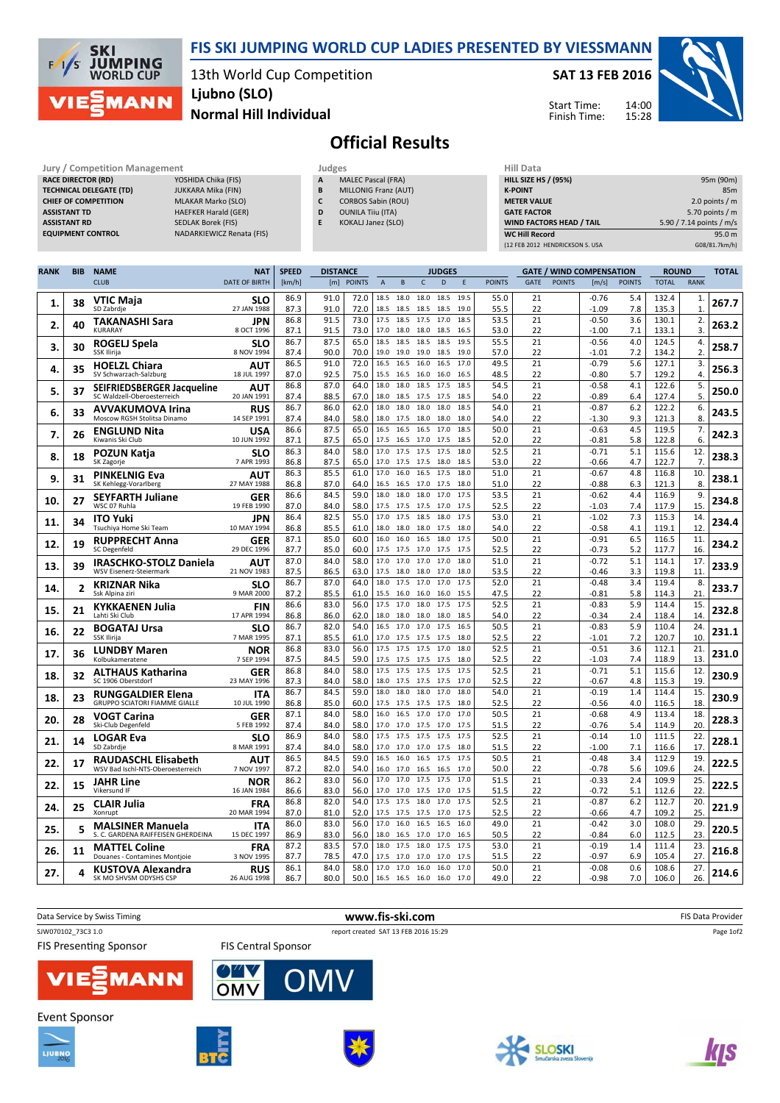

13th World Cup Competition Ljubno (SLO)

SAT 13 FEB 2016

Start Time: Finish Time:



## Normal Hill Individual

## Official Results

| <b>Jury / Competition Management</b> |                             |   | Judges                    | <b>Hill Data</b>   |
|--------------------------------------|-----------------------------|---|---------------------------|--------------------|
| <b>RACE DIRECTOR (RD)</b>            | YOSHIDA Chika (FIS)         | A | <b>MALEC Pascal (FRA)</b> | <b>HILL SIZE H</b> |
| <b>TECHNICAL DELEGATE (TD)</b>       | JUKKARA Mika (FIN)          | B | MILLONIG Franz (AUT)      | <b>K-POINT</b>     |
| <b>CHIEF OF COMPETITION</b>          | <b>MLAKAR Marko (SLO)</b>   |   | <b>CORBOS Sabin (ROU)</b> | <b>METER VAI</b>   |
| <b>ASSISTANT TD</b>                  | <b>HAEFKER Harald (GER)</b> | D | <b>OUNILA Tiju (ITA)</b>  | <b>GATE FACT</b>   |
| <b>ASSISTANT RD</b>                  | SEDLAK Borek (FIS)          |   | KOKALJ Janez (SLO)        | <b>WIND FACT</b>   |
| <b>EQUIPMENT CONTROL</b>             | NADARKIEWICZ Renata (FIS)   |   |                           | <b>WC Hill Red</b> |

SKI<br>JUMPING<br>WORLD CUP

MANN

 $F/1/S$ 

| <b>RACE DIRECTOR (RD)</b>      | YOSHIDA Chika (FIS)              |
|--------------------------------|----------------------------------|
| <b>TECHNICAL DELEGATE (TD)</b> | <b>JUKKARA Mika (FIN)</b>        |
| <b>CHIEF OF COMPETITION</b>    | <b>MLAKAR Marko (SLO)</b>        |
| ASSISTANT TD                   | <b>HAEFKER Harald (GER)</b>      |
| <b>ASSISTANT RD</b>            | <b>SEDLAK Borek (FIS)</b>        |
| <b>EQUIPMENT CONTROL</b>       | <b>NADARKIEWICZ Renata (FIS)</b> |
|                                |                                  |

- A MALEC Pascal (FRA) **B** MILLONIG Franz (AUT) C CORBOS Sabin (ROU)
- D OUNILA Tiiu (ITA)
- E KOKALJ Janez (SLO)

| Hill Data                       |                          |
|---------------------------------|--------------------------|
| <b>HILL SIZE HS / (95%)</b>     | 95m (90m)                |
| <b>K-POINT</b>                  | 85 <sub>m</sub>          |
| <b>METER VALUE</b>              | 2.0 points $/m$          |
| <b>GATE FACTOR</b>              | 5.70 points $/m$         |
| <b>WIND FACTORS HEAD / TAIL</b> | 5.90 / 7.14 points / m/s |
| <b>WC Hill Record</b>           | 95.0 m                   |
| (12 FEB 2012 HENDRICKSON S. USA | G08/81.7km/h)            |

14:00 15:28

| <b>RANK</b> | <b>BIB</b>              | <b>NAME</b>                                               | <b>NAT</b>                | <b>SPEED</b> | <b>DISTANCE</b> |               |                |                   |                   | <b>JUDGES</b> |              |               |             |               | <b>GATE / WIND COMPENSATION</b> |               | <b>ROUND</b>   |                | <b>TOTAL</b> |
|-------------|-------------------------|-----------------------------------------------------------|---------------------------|--------------|-----------------|---------------|----------------|-------------------|-------------------|---------------|--------------|---------------|-------------|---------------|---------------------------------|---------------|----------------|----------------|--------------|
|             |                         | <b>CLUB</b>                                               | <b>DATE OF BIRTH</b>      | [km/h]       | [m]             | <b>POINTS</b> | $\overline{A}$ | $\,$ B            | $\mathsf{C}$      | D             | E            | <b>POINTS</b> | <b>GATE</b> | <b>POINTS</b> | [m/s]                           | <b>POINTS</b> | <b>TOTAL</b>   | <b>RANK</b>    |              |
|             |                         | VTIC Maia                                                 | SLO                       | 86.9         | 91.0            | 72.0          | 18.5           | 18.0              | 18.0              | 18.5          | 19.5         | 55.0          | 21          |               | -0.76                           | 5.4           | 132.4          | 1.             |              |
| 1.          | 38                      | SD Zabrdje                                                | 27 JAN 1988               | 87.3         | 91.0            | 72.0          | 18.5           | 18.5              | 18.5              | 18.5          | 19.0         | 55.5          | 22          |               | -1.09                           | 7.8           | 135.3          | $\mathbf{1}$   | 267.7        |
| 2.          | 40                      | TAKANASHI Sara                                            | JPN                       | 86.8         | 91.5            | 73.0          |                | 17.5 18.5         | 17.5              | 17.0          | 18.5         | 53.5          | 21          |               | $-0.50$                         | 3.6           | 130.1          | 2.             | 263.2        |
|             |                         | KURARAY                                                   | 8 OCT 1996                | 87.1         | 91.5            | 73.0          | 17.0           | 18.0              | 18.0              | 18.5          | 16.5         | 53.0          | 22          |               | $-1.00$                         | 7.1           | 133.1          | 3.             |              |
| 3.          | 30                      | ROGELJ Spela                                              | SLO                       | 86.7         | 87.5            | 65.0          | 18.5           | 18.5              | 18.5              | 18.5          | 19.5         | 55.5          | 21          |               | $-0.56$                         | 4.0           | 124.5          | 4.             | 258.7        |
|             |                         | SSK Ilirija                                               | 8 NOV 1994                | 87.4         | 90.0<br>91.0    | 70.0<br>72.0  |                | 19.0 19.0         | 19.0 18.5         |               | 19.0         | 57.0          | 22          |               | $-1.01$                         | 7.2           | 134.2          | $\overline{2}$ |              |
| 4.          | 35                      | <b>HOELZL Chiara</b><br>SV Schwarzach-Salzburg            | <b>AUT</b><br>18 JUL 1997 | 86.5<br>87.0 | 92.5            | 75.0          | 16.5<br>15.5   | 16.5<br>16.5      | 16.0<br>16.0      | 16.5<br>16.0  | 17.0<br>16.5 | 49.5<br>48.5  | 21<br>22    |               | $-0.79$<br>$-0.80$              | 5.6<br>5.7    | 127.1<br>129.2 | 3.<br>4.       | 256.3        |
|             |                         |                                                           | AUT                       | 86.8         | 87.0            | 64.0          |                | 18.0 18.0         | 18.5 17.5         |               | 18.5         | 54.5          | 21          |               | $-0.58$                         | 4.1           | 122.6          | 5.             |              |
| 5.          | 37                      | SEIFRIEDSBERGER Jacqueline<br>SC Waldzell-Oberoesterreich | 20 JAN 1991               | 87.4         | 88.5            | 67.0          | 18.0           | 18.5              | 17.5              | 17.5          | 18.5         | 54.0          | 22          |               | $-0.89$                         | 6.4           | 127.4          | 5.             | 250.0        |
|             |                         | AVVAKUMOVA Irina                                          | <b>RUS</b>                | 86.7         | 86.0            | 62.0          | 18.0           | 18.0              | 18.0              | 18.0          | 18.5         | 54.0          | 21          |               | $-0.87$                         | 6.2           | 122.2          | 6.             |              |
| 6.          | 33                      | Moscow RGSH Stolitsa Dinamo                               | 14 SEP 1991               | 87.4         | 84.0            | 58.0          | 18.0           | 17.5              | 18.0              | 18.0          | 18.0         | 54.0          | 22          |               | -1.30                           | 9.3           | 121.3          | 8.             | 243.5        |
| 7.          | 26                      | <b>ENGLUND Nita</b>                                       | <b>USA</b>                | 86.6         | 87.5            | 65.0          | 16.5           | 16.5              | 16.5              | 17.0          | 18.5         | 50.0          | 21          |               | $-0.63$                         | 4.5           | 119.5          | 7.             | 242.3        |
|             |                         | Kiwanis Ski Club                                          | 10 JUN 1992               | 87.1         | 87.5            | 65.0          |                | 17.5 16.5         | 17.0              | 17.5          | 18.5         | 52.0          | 22          |               | $-0.81$                         | 5.8           | 122.8          | 6.             |              |
| 8.          | 18                      | <b>POZUN Katja</b><br>SK Zagorje                          | slo<br>7 APR 1993         | 86.3<br>86.8 | 84.0<br>87.5    | 58.0<br>65.0  | 17.0<br>17.0   | 17.5<br>17.5      | 17.5<br>17.5      | 17.5<br>18.0  | 18.0<br>18.5 | 52.5<br>53.0  | 21<br>22    |               | $-0.71$<br>$-0.66$              | 5.1<br>4.7    | 115.6<br>122.7 | 12.<br>7.      | 238.3        |
|             |                         |                                                           | AUT                       | 86.3         | 85.5            | 61.0          | 17.0           | 16.0              | 16.5              | 17.5          | 18.0         | 51.0          | 21          |               | $-0.67$                         | 4.8           | 116.8          | 10.            |              |
| 9           | 31                      | <b>PINKELNIG Eva</b><br>SK Kehlegg-Vorarlberg             | 27 MAY 1988               | 86.8         | 87.0            | 64.0          | 16.5           | 16.5              | 17.0              | 17.5          | 18.0         | 51.0          | 22          |               | $-0.88$                         | 6.3           | 121.3          | 8.             | 238.1        |
|             |                         | <b>SEYFARTH Juliane</b>                                   | <b>GER</b>                | 86.6         | 84.5            | 59.0          | 18.0           | 18.0              | 18.0              | 17.0          | 17.5         | 53.5          | 21          |               | $-0.62$                         | 4.4           | 116.9          | 9.             |              |
| 10.         | 27                      | WSC 07 Ruhla                                              | 19 FEB 1990               | 87.0         | 84.0            | 58.0          |                | 17.5 17.5         | 17.5              | 17.0          | 17.5         | 52.5          | 22          |               | $-1.03$                         | 7.4           | 117.9          | 15.            | 234.8        |
| 11          | 34                      | <b>ITO Yuki</b>                                           | JPN                       | 86.4         | 82.5            | 55.0          | 17.0           | 17.5              | 18.5              | 18.0          | 17.5         | 53.0          | 21          |               | $-1.02$                         | 7.3           | 115.3          | 14.            | 234.4        |
|             |                         | Tsuchiya Home Ski Team                                    | 10 MAY 1994               | 86.8         | 85.5            | 61.0          | 18.0           | 18.0              | 18.0              | 17.5          | 18.0         | 54.0          | 22          |               | $-0.58$                         | 4.1           | 119.1          | 12.            |              |
| 12.         | 19                      | <b>RUPPRECHT Anna</b><br><b>SC Degenfeld</b>              | <b>GER</b><br>29 DEC 1996 | 87.1<br>87.7 | 85.0<br>85.0    | 60.0<br>60.0  | 16.0           | 16.0<br>17.5 17.5 | 16.5<br>17.0 17.5 | 18.0          | 17.5<br>17.5 | 50.0<br>52.5  | 21<br>22    |               | $-0.91$<br>$-0.73$              | 6.5           | 116.5          | 11.            | 234.2        |
|             |                         |                                                           |                           | 87.0         | 84.0            | 58.0          | 17.0           | 17.0              | 17.0              | 17.0          | 18.0         | 51.0          | 21          |               | $-0.72$                         | 5.2<br>5.1    | 117.7<br>114.1 | 16.<br>17.     |              |
| 13.         | 39                      | IRASCHKO-STOLZ Daniela<br>WSV Eisenerz-Steiermark         | AUT<br>21 NOV 1983        | 87.5         | 86.5            | 63.0          | 17.5           | 18.0              | 18.0              | 17.0          | 18.0         | 53.5          | 22          |               | $-0.46$                         | 3.3           | 119.8          | 11.            | 233.9        |
|             |                         | <b>KRIZNAR Nika</b>                                       | SLO                       | 86.7         | 87.0            | 64.0          | 18.0           | 17.5              | 17.0              | 17.0          | 17.5         | 52.0          | 21          |               | $-0.48$                         | 3.4           | 119.4          | 8.             |              |
| 14.         | $\overline{\mathbf{2}}$ | Ssk Alpina ziri                                           | 9 MAR 2000                | 87.2         | 85.5            | 61.0          | 15.5           | 16.0              | 16.0              | 16.0          | 15.5         | 47.5          | 22          |               | $-0.81$                         | 5.8           | 114.3          | 21.            | 233.7        |
| 15          | 21                      | <b>KYKKAENEN Julia</b>                                    | <b>FIN</b>                | 86.6         | 83.0            | 56.0          | 17.5           | 17.0              | 18.0              | 17.5          | 17.5         | 52.5          | 21          |               | $-0.83$                         | 5.9           | 114.4          | 15.            | 232.8        |
|             |                         | Lahti Ski Club                                            | 17 APR 1994               | 86.8         | 86.0            | 62.0          | 18.0           | 18.0              | 18.0              | 18.0          | 18.5         | 54.0          | 22          |               | $-0.34$                         | 2.4           | 118.4          | 14.            |              |
| 16.         | 22                      | <b>BOGATAJ Ursa</b>                                       | SLO                       | 86.7<br>87.1 | 82.0<br>85.5    | 54.0<br>61.0  | 16.5<br>17.0   | 17.0              | 17.0              | 17.5          | 16.5         | 50.5<br>52.5  | 21<br>22    |               | $-0.83$<br>$-1.01$              | 5.9<br>7.2    | 110.4          | 24.<br>10.     | 231.1        |
|             |                         | SSK Ilirija                                               | 7 MAR 1995                | 86.8         | 83.0            | 56.0          | 17.5           | 17.5<br>17.5      | 17.5<br>17.5      | 17.5<br>17.0  | 18.0<br>18.0 | 52.5          | 21          |               | $-0.51$                         | 3.6           | 120.7<br>112.1 | 21.            |              |
| 17.         | 36                      | <b>LUNDBY Maren</b><br>Kolbukameratene                    | NOR<br>7 SEP 1994         | 87.5         | 84.5            | 59.0          |                | 17.5 17.5         | 17.5              | 17.5          | 18.0         | 52.5          | 22          |               | $-1.03$                         | 7.4           | 118.9          | 13.            | 231.0        |
|             |                         | ALTHAUS Katharina                                         | <b>GER</b>                | 86.8         | 84.0            | 58.0          | 17.5           | 17.5              | 17.5              | 17.5          | 17.5         | 52.5          | 21          |               | $-0.71$                         | 5.1           | 115.6          | 12.            |              |
| 18          | 32                      | SC 1906 Oberstdorf                                        | 23 MAY 1996               | 87.3         | 84.0            | 58.0          | 18.0           | 17.5              | 17.5              | 17.5          | 17.0         | 52.5          | 22          |               | $-0.67$                         | 4.8           | 115.3          | 19.            | 230.9        |
| 18          | 23                      | <b>RUNGGALDIER Elena</b>                                  | <b>ITA</b>                | 86.7         | 84.5            | 59.0          | 18.0           | 18.0              | 18.0              | 17.0          | 18.0         | 54.0          | 21          |               | $-0.19$                         | 1.4           | 114.4          | 15.            | 230.9        |
|             |                         | <b>GRUPPO SCIATORI FIAMME GIALLE</b>                      | 10 JUL 1990               | 86.8         | 85.0            | 60.0          | 17.5           | 17.5<br>16.5      | 17.5<br>17.0      | 17.5<br>17.0  | 18.0<br>17.0 | 52.5          | 22          |               | $-0.56$                         | 4.0           | 116.5          | 18.            |              |
| 20          | 28                      | VOGT Carina<br>Ski-Club Degenfeld                         | <b>GER</b><br>5 FEB 1992  | 87.1<br>87.4 | 84.0<br>84.0    | 58.0<br>58.0  | 16.0           | 17.0 17.0         | 17.5 17.0         |               | 17.5         | 50.5<br>51.5  | 21<br>22    |               | $-0.68$<br>-0.76                | 4.9<br>5.4    | 113.4<br>114.9 | 18.<br>20.     | 228.3        |
|             |                         | <b>LOGAR Eva</b>                                          | SLO                       | 86.9         | 84.0            | 58.0          | 17.5           | 17.5              | 17.5              | 17.5          | 17.5         | 52.5          | 21          |               | $-0.14$                         | 1.0           | 111.5          | 22.            |              |
| 21          | 14                      | SD Zabrdje                                                | 8 MAR 1991                | 87.4         | 84.0            | 58.0          | 17.0           | 17.0              | 17.0              | 17.5          | 18.0         | 51.5          | 22          |               | $-1.00$                         | 7.1           | 116.6          | 17.            | 228.1        |
|             | 17                      | <b>RAUDASCHL Elisabeth</b>                                | AUT                       | 86.5         | 84.5            | 59.0          |                | 16.5 16.0         | 16.5 17.5         |               | 17.5         | 50.5          | 21          |               | $-0.48$                         | 3.4           | 112.9          | 19.            | 222.5        |
| 22.         |                         | WSV Bad Ischl-NTS-Oberoesterreich                         | 7 NOV 1997                | 87.2         | 82.0            | 54.0          | 16.0           | 17.0              | 16.5              | 16.5          | 17.0         | 50.0          | 22          |               | $-0.78$                         | 5.6           | 109.6          | 24.            |              |
| 22.         | 15                      | JAHR Line                                                 | NOR                       | 86.2         | 83.0            | 56.0          | 17.0           | 17.0              | 17.5              | 17.5          | 17.0         | 51.5          | 21          |               | $-0.33$                         | 2.4           | 109.9          | 25.            | 222.5        |
|             |                         | Vikersund IF                                              | 16 JAN 1984               | 86.6         | 83.0            | 56.0          | 17.0           | 17.0              | 17.5              | 17.0          | 17.5         | 51.5          | 22          |               | $-0.72$                         | 5.1           | 112.6          | 22.            |              |
| 24.         | 25                      | <b>CLAIR Julia</b><br>Xonrupt                             | FRA<br>20 MAR 1994        | 86.8<br>87.0 | 82.0<br>81.0    | 54.0<br>52.0  | 17.5<br>17.5   | 17.5<br>17.5      | 18.0<br>17.5      | 17.0<br>17.0  | 17.5<br>17.5 | 52.5<br>52.5  | 21<br>22    |               | $-0.87$<br>$-0.66$              | 6.2<br>4.7    | 112.7<br>109.2 | 20.<br>25.     | 221.9        |
|             |                         | <b>MALSINER Manuela</b>                                   | ITA                       | 86.0         | 83.0            | 56.0          | 17.0           | 16.0              | 16.5              | 16.5          | 16.0         | 49.0          | 21          |               | $-0.42$                         | 3.0           | 108.0          | 29.            |              |
| 25.         | 5                       | S. C. GARDENA RAIFFEISEN GHERDEINA                        | 15 DEC 1997               | 86.9         | 83.0            | 56.0          | 18.0           | 16.5              | 17.0              | 17.0          | 16.5         | 50.5          | 22          |               | $-0.84$                         | 6.0           | 112.5          | 23.            | 220.5        |
|             |                         | <b>MATTEL Coline</b>                                      | FRA                       | 87.2         | 83.5            | 57.0          |                | 18.0 17.5 18.0    |                   | 17.5          | 17.5         | 53.0          | 21          |               | $-0.19$                         | 1.4           | 111.4          | 23.            | 216.8        |
| 26.         | 11                      | Douanes - Contamines Montjoie                             | 3 NOV 1995                | 87.7         | 78.5            | 47.0          | 17.5           | 17.0              | 17.0              | 17.0          | 17.5         | 51.5          | 22          |               | $-0.97$                         | 6.9           | 105.4          | 27.            |              |
| 27.         | Δ                       | <b>KUSTOVA Alexandra</b>                                  | <b>RUS</b>                | 86.1         | 84.0            | 58.0          | 17.0           | 17.0              | 16.0              | 16.0          | 17.0         | 50.0          | 21          |               | $-0.08$                         | 0.6           | 108.6          | 27.            | 214.6        |
|             |                         | SK MO SHVSM ODYSHS CSP                                    | 26 AUG 1998               | 86.7         | 80.0            | 50.0          |                | 16.5 16.5 16.0    |                   | 16.0          | 17.0         | 49.0          | 22          |               | $-0.98$                         | 7.0           | 106.0          | 26.            |              |